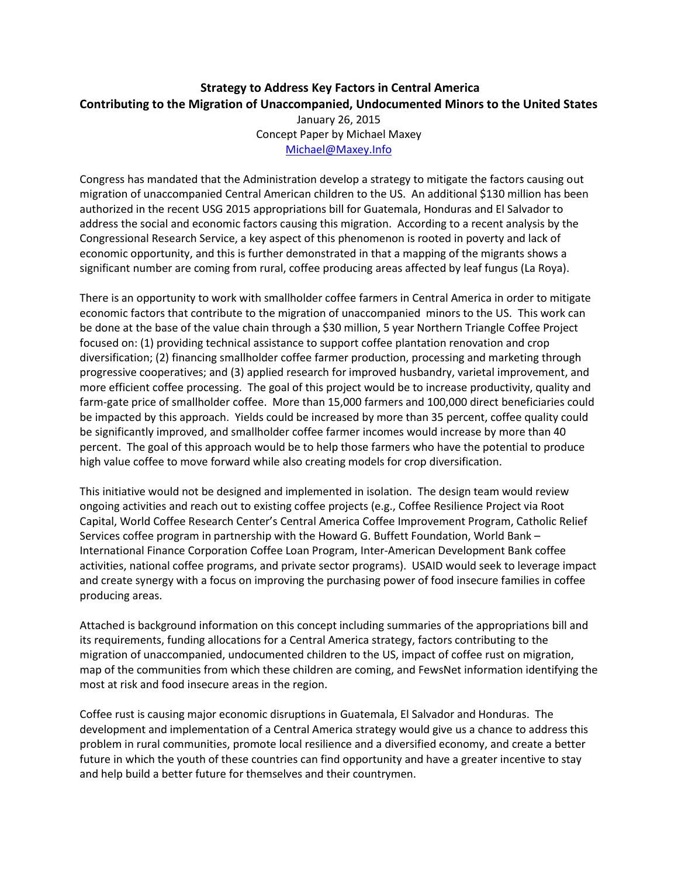## **Strategy to Address Key Factors in Central America Contributing to the Migration of Unaccompanied, Undocumented Minors to the United States** January 26, 2015 Concept Paper by Michael Maxey

[Michael@Maxey.Info](mailto:Michael@Maxey.Info)

Congress has mandated that the Administration develop a strategy to mitigate the factors causing out migration of unaccompanied Central American children to the US. An additional \$130 million has been authorized in the recent USG 2015 appropriations bill for Guatemala, Honduras and El Salvador to address the social and economic factors causing this migration. According to a recent analysis by the Congressional Research Service, a key aspect of this phenomenon is rooted in poverty and lack of economic opportunity, and this is further demonstrated in that a mapping of the migrants shows a significant number are coming from rural, coffee producing areas affected by leaf fungus (La Roya).

There is an opportunity to work with smallholder coffee farmers in Central America in order to mitigate economic factors that contribute to the migration of unaccompanied minors to the US. This work can be done at the base of the value chain through a \$30 million, 5 year Northern Triangle Coffee Project focused on: (1) providing technical assistance to support coffee plantation renovation and crop diversification; (2) financing smallholder coffee farmer production, processing and marketing through progressive cooperatives; and (3) applied research for improved husbandry, varietal improvement, and more efficient coffee processing. The goal of this project would be to increase productivity, quality and farm-gate price of smallholder coffee. More than 15,000 farmers and 100,000 direct beneficiaries could be impacted by this approach. Yields could be increased by more than 35 percent, coffee quality could be significantly improved, and smallholder coffee farmer incomes would increase by more than 40 percent. The goal of this approach would be to help those farmers who have the potential to produce high value coffee to move forward while also creating models for crop diversification.

This initiative would not be designed and implemented in isolation. The design team would review ongoing activities and reach out to existing coffee projects (e.g., Coffee Resilience Project via Root Capital, World Coffee Research Center's Central America Coffee Improvement Program, Catholic Relief Services coffee program in partnership with the Howard G. Buffett Foundation, World Bank – International Finance Corporation Coffee Loan Program, Inter-American Development Bank coffee activities, national coffee programs, and private sector programs). USAID would seek to leverage impact and create synergy with a focus on improving the purchasing power of food insecure families in coffee producing areas.

Attached is background information on this concept including summaries of the appropriations bill and its requirements, funding allocations for a Central America strategy, factors contributing to the migration of unaccompanied, undocumented children to the US, impact of coffee rust on migration, map of the communities from which these children are coming, and FewsNet information identifying the most at risk and food insecure areas in the region.

Coffee rust is causing major economic disruptions in Guatemala, El Salvador and Honduras. The development and implementation of a Central America strategy would give us a chance to address this problem in rural communities, promote local resilience and a diversified economy, and create a better future in which the youth of these countries can find opportunity and have a greater incentive to stay and help build a better future for themselves and their countrymen.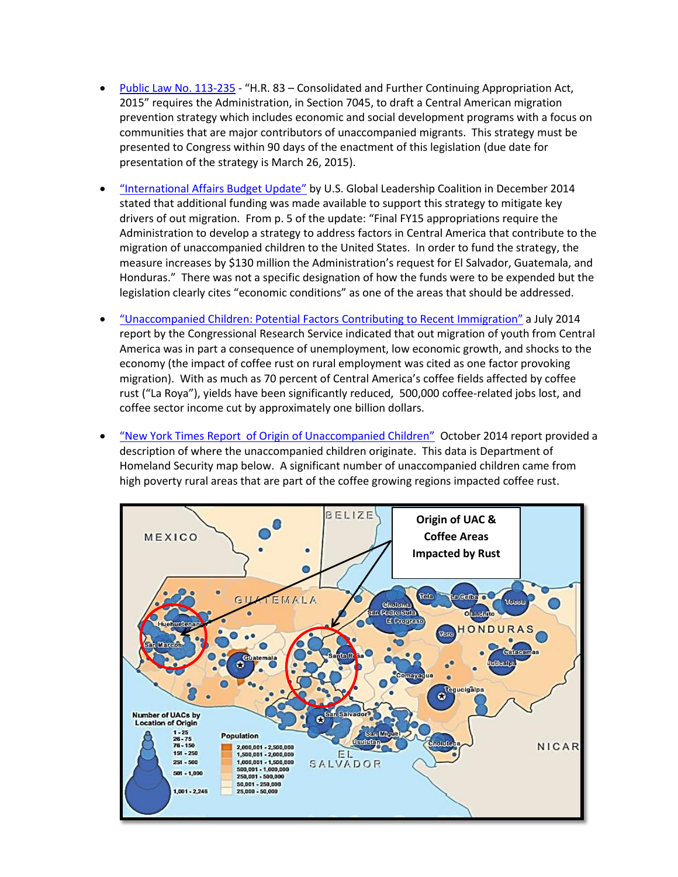- [Public Law No. 113-235](http://sleepless-in-baghdad.blogspot.com/2014/12/usg-spending-bill-hr-83-2015.html) "H.R. 83 Consolidated and Further Continuing Appropriation Act, 2015" requires the Administration, in Section 7045, to draft a Central American migration prevention strategy which includes economic and social development programs with a focus on communities that are major contributors of unaccompanied migrants. This strategy must be presented to Congress within 90 days of the enactment of this legislation (due date for presentation of the strategy is March 26, 2015).
- "[International Affairs Budget Update](http://www.usglc.org/2014/12/16/international-affairs-budget-update-121614/)" by U.S. Global Leadership Coalition in December 2014 stated that additional funding was made available to support this strategy to mitigate key drivers of out migration. From p. 5 of the update: "Final FY15 appropriations require the Administration to develop a strategy to address factors in Central America that contribute to the migration of unaccompanied children to the United States. In order to fund the strategy, the measure increases by \$130 million the Administration's request for El Salvador, Guatemala, and Honduras." There was not a specific designation of how the funds were to be expended but the legislation clearly cites "economic conditions" as one of the areas that should be addressed.
- "[Unaccompanied Children: Potential Factors Contributing to Recent Immigration](http://fas.org/sgp/crs/homesec/R43628.pdf)" a July 2014 report by the Congressional Research Service indicated that out migration of youth from Central America was in part a consequence of unemployment, low economic growth, and shocks to the economy (the impact of coffee rust on rural employment was cited as one factor provoking migration). With as much as 70 percent of Central America's coffee fields affected by coffee rust ("La Roya"), yields have been significantly reduced, 500,000 coffee-related jobs lost, and coffee sector income cut by approximately one billion dollars.
- "[New York Times Report of Origin of Unaccompanied Children](http://www.nytimes.com/interactive/2014/07/15/us/questions-about-the-border-kids.html?_r=0)" October 2014 report provided a description of where the unaccompanied children originate. This data is Department of Homeland Security map below. A significant number of unaccompanied children came from high poverty rural areas that are part of the coffee growing regions impacted coffee rust.

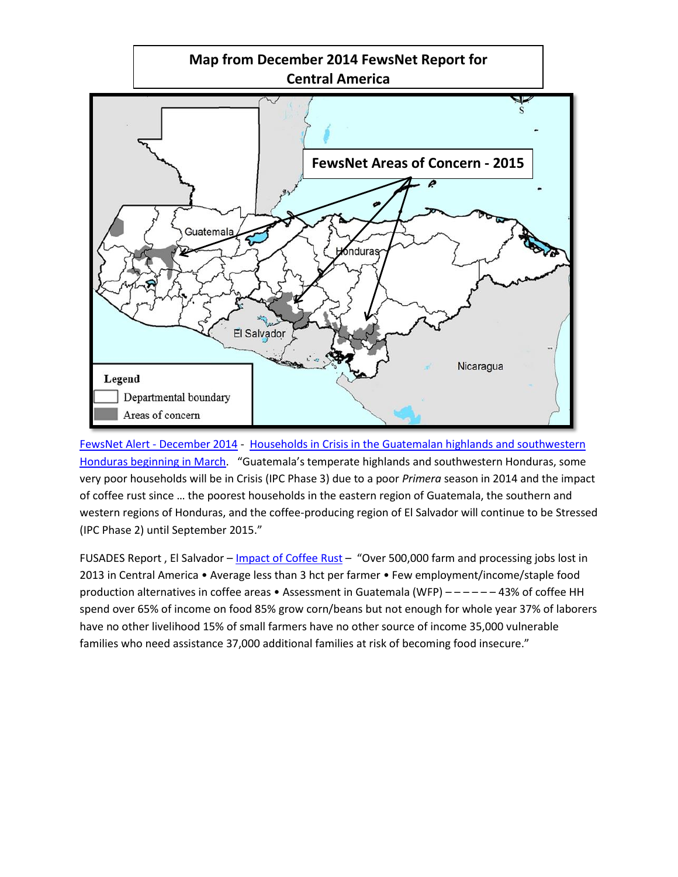

FewsNet Alert - [December 2014](http://www.fews.net/central-america-and-caribbean/alert/december-2014) - [Households in Crisis in the Guatemalan highlands and southwestern](http://www.fews.net/central-america-and-caribbean/alert/december-2014)  [Honduras beginning in March.](http://www.fews.net/central-america-and-caribbean/alert/december-2014) "Guatemala's temperate highlands and southwestern Honduras, some very poor households will be in Crisis (IPC Phase 3) due to a poor *Primera* season in 2014 and the impact of coffee rust since … the poorest households in the eastern region of Guatemala, the southern and western regions of Honduras, and the coffee-producing region of El Salvador will continue to be Stressed (IPC Phase 2) until September 2015."

FUSADES Report, El Salvador – [Impact of Coffee Rust](http://www.slideshare.net/alangel88/angel-ltc?related=1) – "Over 500,000 farm and processing jobs lost in 2013 in Central America • Average less than 3 hct per farmer • Few employment/income/staple food production alternatives in coffee areas • Assessment in Guatemala (WFP) – – – – – – 43% of coffee HH spend over 65% of income on food 85% grow corn/beans but not enough for whole year 37% of laborers have no other livelihood 15% of small farmers have no other source of income 35,000 vulnerable families who need assistance 37,000 additional families at risk of becoming food insecure."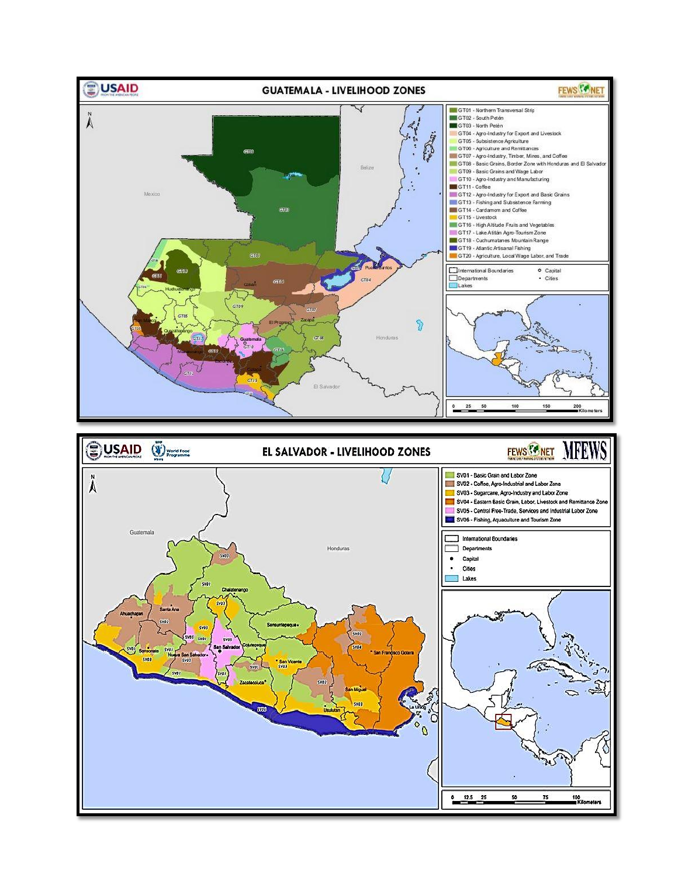